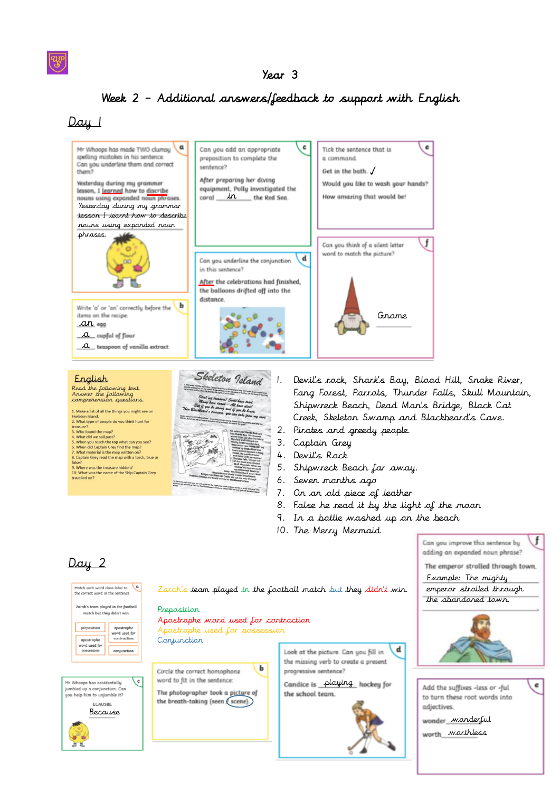## Year 3

## Week 2 – Additional answers/feedback to support with English

## $Day_1$





1. Devil's rock, Shark's Bay, Blood Hill, Snake River, Fang Forest, Parrots, Thunder Falls, Skull Mountain, Shipwreck Beach, Dead Man's Bridge, Black Cat Creek, Skeleton Swamp and Blackbeard's Cave.

- 2. Pirates and greedy people.
- 3. Captain Grey
- 4. Devil's Rock
- 5. Shipwreck Beach far away.
- 6. Seven months ago
- 7. On an old piece of leather
- 8. False he read it by the light of the moon
- 9. In a bottle washed up on the beach
- 10. The Merry Mermaid

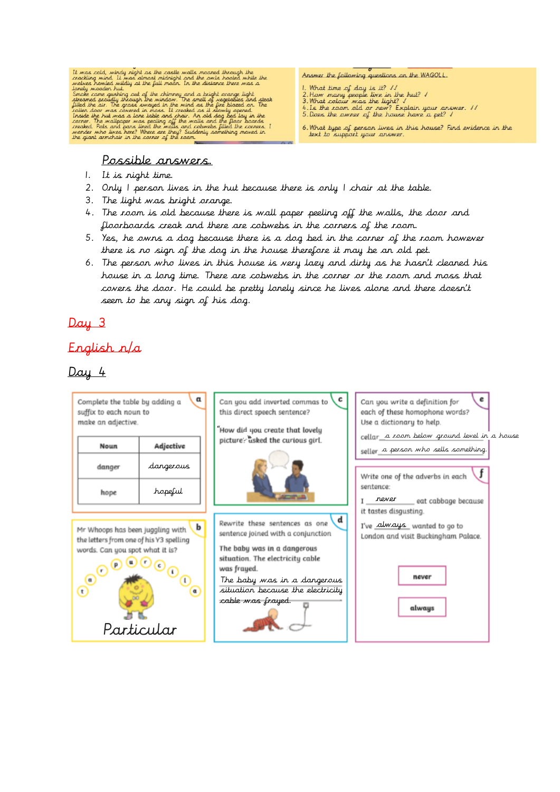

#### Possible answers.

- 1. It is night time.
- 2. Only 1 person lives in the hut because there is only 1 chair at the table.
- 3. The light was bright orange.
- 4. The room is old because there is wall paper peeling off the walls, the door and floorboards creak and there are cobwebs in the corners of the room.
- 5. Yes, he owns a dog because there is a dog bed in the corner of the room however there is no sign of the dog in the house therefore it may be an old pet.
- 6. The person who lives in this house is very lazy and dirty as he hasn't cleaned his house in a long time. There are cobwebs in the corner or the room and moss that covers the door. He could be pretty lonely since he lives alone and there doesn't seem to be any sign of his dog.

# Day 3

# English n/a

# $Day 4$



Answer the following questions on the WAGOLL.

- 
- 
- 
- 1. What time of day is it?  $11$ <br>2. How many people live in the hut? I<br>3. What colour was the light? I<br>4. Is the room old or new? Explain your answer. II<br>5. Does the owner of the house have a pet? I
- $6.$  What type of person lives in this house? Find evidence in the lext to support your answer.